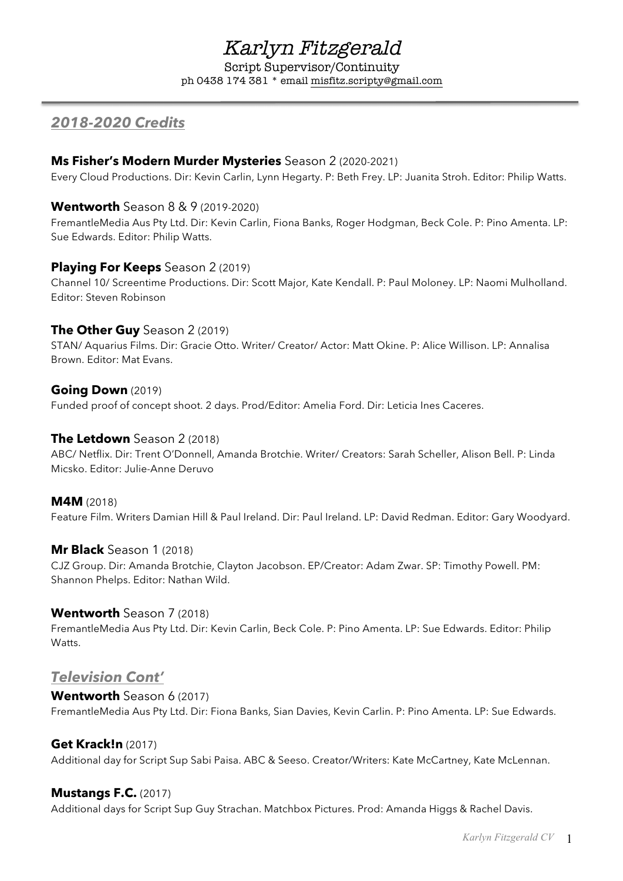# Karlyn Fitzgerald

Script Supervisor/Continuity ph 0438 174 381 \* email misfitz.scripty@gmail.com

# *2018-2020 Credits*

# **Ms Fisher's Modern Murder Mysteries** Season 2 (2020-2021)

Every Cloud Productions. Dir: Kevin Carlin, Lynn Hegarty. P: Beth Frey. LP: Juanita Stroh. Editor: Philip Watts.

# **Wentworth** Season 8 & 9 (2019-2020)

FremantleMedia Aus Pty Ltd. Dir: Kevin Carlin, Fiona Banks, Roger Hodgman, Beck Cole. P: Pino Amenta. LP: Sue Edwards. Editor: Philip Watts.

# **Playing For Keeps** Season 2 (2019)

Channel 10/ Screentime Productions. Dir: Scott Major, Kate Kendall. P: Paul Moloney. LP: Naomi Mulholland. Editor: Steven Robinson

# **The Other Guy** Season 2 (2019)

STAN/ Aquarius Films. Dir: Gracie Otto. Writer/ Creator/ Actor: Matt Okine. P: Alice Willison. LP: Annalisa Brown. Editor: Mat Evans.

# **Going Down** (2019)

Funded proof of concept shoot. 2 days. Prod/Editor: Amelia Ford. Dir: Leticia Ines Caceres.

# **The Letdown** Season 2 (2018)

ABC/ Netflix. Dir: Trent O'Donnell, Amanda Brotchie. Writer/ Creators: Sarah Scheller, Alison Bell. P: Linda Micsko. Editor: Julie-Anne Deruvo

#### **M4M** (2018)

Feature Film. Writers Damian Hill & Paul Ireland. Dir: Paul Ireland. LP: David Redman. Editor: Gary Woodyard.

#### **Mr Black** Season 1 (2018)

CJZ Group. Dir: Amanda Brotchie, Clayton Jacobson. EP/Creator: Adam Zwar. SP: Timothy Powell. PM: Shannon Phelps. Editor: Nathan Wild.

#### **Wentworth** Season 7 (2018)

FremantleMedia Aus Pty Ltd. Dir: Kevin Carlin, Beck Cole. P: Pino Amenta. LP: Sue Edwards. Editor: Philip Watts.

# *Television Cont'*

# **Wentworth** Season 6 (2017) FremantleMedia Aus Pty Ltd. Dir: Fiona Banks, Sian Davies, Kevin Carlin. P: Pino Amenta. LP: Sue Edwards.

# **Get Krack!n** (2017)

Additional day for Script Sup Sabi Paisa. ABC & Seeso. Creator/Writers: Kate McCartney, Kate McLennan.

# **Mustangs F.C.** (2017)

Additional days for Script Sup Guy Strachan. Matchbox Pictures. Prod: Amanda Higgs & Rachel Davis.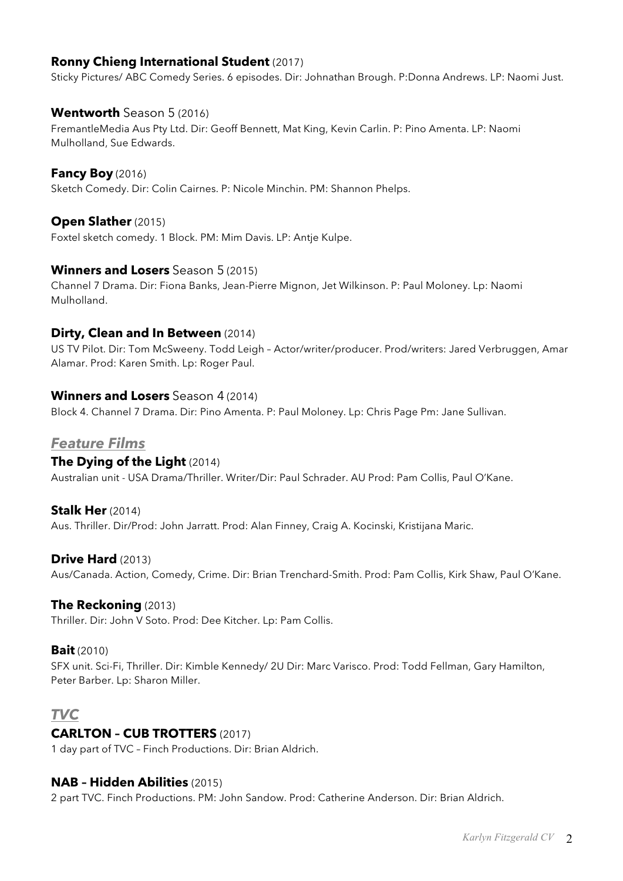# **Ronny Chieng International Student** (2017)

Sticky Pictures/ ABC Comedy Series. 6 episodes. Dir: Johnathan Brough. P:Donna Andrews. LP: Naomi Just.

# **Wentworth** Season 5 (2016)

FremantleMedia Aus Pty Ltd. Dir: Geoff Bennett, Mat King, Kevin Carlin. P: Pino Amenta. LP: Naomi Mulholland, Sue Edwards.

# **Fancy Boy** (2016)

Sketch Comedy. Dir: Colin Cairnes. P: Nicole Minchin. PM: Shannon Phelps.

# **Open Slather** (2015)

Foxtel sketch comedy. 1 Block. PM: Mim Davis. LP: Antje Kulpe.

# **Winners and Losers** Season 5 (2015)

Channel 7 Drama. Dir: Fiona Banks, Jean-Pierre Mignon, Jet Wilkinson. P: Paul Moloney. Lp: Naomi Mulholland.

#### **Dirty, Clean and In Between** (2014)

US TV Pilot. Dir: Tom McSweeny. Todd Leigh – Actor/writer/producer. Prod/writers: Jared Verbruggen, Amar Alamar. Prod: Karen Smith. Lp: Roger Paul.

# **Winners and Losers** Season 4 (2014)

Block 4. Channel 7 Drama. Dir: Pino Amenta. P: Paul Moloney. Lp: Chris Page Pm: Jane Sullivan.

#### *Feature Films*

#### **The Dying of the Light** (2014)

Australian unit - USA Drama/Thriller. Writer/Dir: Paul Schrader. AU Prod: Pam Collis, Paul O'Kane.

#### **Stalk Her** (2014)

Aus. Thriller. Dir/Prod: John Jarratt. Prod: Alan Finney, Craig A. Kocinski, Kristijana Maric.

#### **Drive Hard** (2013)

Aus/Canada. Action, Comedy, Crime. Dir: Brian Trenchard-Smith. Prod: Pam Collis, Kirk Shaw, Paul O'Kane.

#### **The Reckoning** (2013)

Thriller. Dir: John V Soto. Prod: Dee Kitcher. Lp: Pam Collis.

#### **Bait** (2010)

SFX unit. Sci-Fi, Thriller. Dir: Kimble Kennedy/ 2U Dir: Marc Varisco. Prod: Todd Fellman, Gary Hamilton, Peter Barber. Lp: Sharon Miller.

# *TVC*

#### **CARLTON – CUB TROTTERS** (2017)

1 day part of TVC – Finch Productions. Dir: Brian Aldrich.

#### **NAB – Hidden Abilities** (2015)

2 part TVC. Finch Productions. PM: John Sandow. Prod: Catherine Anderson. Dir: Brian Aldrich.